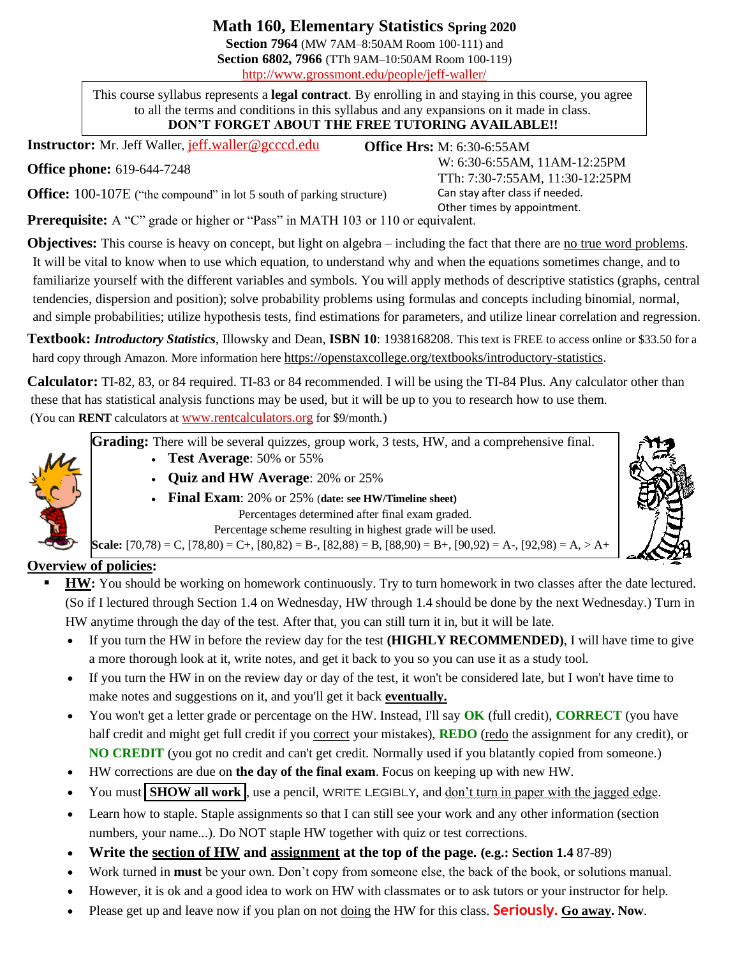**Math 160, Elementary Statistics Spring 2020**

**Section 7964** (MW 7AM–8:50AM Room 100-111) and **Section 6802, 7966** (TTh 9AM–10:50AM Room 100-119) http://www.grossmont.edu/people/jeff-waller/

This course syllabus represents a **legal contract**. By enrolling in and staying in this course, you agree to all the terms and conditions in this syllabus and any expansions on it made in class. **DON'T FORGET ABOUT THE FREE TUTORING AVAILABLE!!**

**Office Hrs:** M: 6:30-6:55AM

 W: 6:30-6:55AM, 11AM-12:25PM TTh: 7:30-7:55AM, 11:30-12:25PM

Can stay after class if needed.

**Instructor:** Mr. Jeff Waller, [jeff.waller@gcccd.edu](mailto:jeff.waller@gcccd.edu)

**Office phone:** 619-644-7248

**Office:** 100-107E ("the compound" in lot 5 south of parking structure)

 Other times by appointment. **Prerequisite:** A "C" grade or higher or "Pass" in MATH 103 or 110 or equivalent.

**Objectives:** This course is heavy on concept, but light on algebra – including the fact that there are no true word problems. It will be vital to know when to use which equation, to understand why and when the equations sometimes change, and to familiarize yourself with the different variables and symbols. You will apply methods of descriptive statistics (graphs, central tendencies, dispersion and position); solve probability problems using formulas and concepts including binomial, normal, and simple probabilities; utilize hypothesis tests, find estimations for parameters, and utilize linear correlation and regression.

**Textbook:** *Introductory Statistics*, Illowsky and Dean, **ISBN 10**: 1938168208. This text is FREE to access online or \$33.50 for a hard copy through Amazon. More information here [https://openstaxcollege.org/textbooks/introductory-statistics.](https://openstaxcollege.org/textbooks/introductory-statistics)

**Calculator:** TI-82, 83, or 84 required. TI-83 or 84 recommended. I will be using the TI-84 Plus. Any calculator other than these that has statistical analysis functions may be used, but it will be up to you to research how to use them. (You can **RENT** calculators at [www.rentcalculators.org](http://www.rentcalculators.org/) for \$9/month.)

**Grading:** There will be several quizzes, group work, 3 tests, HW, and a comprehensive final.

- **Test Average**: 50% or 55%
- **Quiz and HW Average**: 20% or 25%
- **Final Exam**: 20% or 25% (**date: see HW/Timeline sheet)** Percentages determined after final exam graded. Percentage scheme resulting in highest grade will be used.

**Scale:**  $[70,78) = C$ ,  $[78,80) = C$ +,  $[80,82) = B$ -,  $[82,88) = B$ ,  $[88,90) = B$ +,  $[90,92) = A$ -,  $[92,98) = A$ ,  $> A$ +



- **HW**: You should be working on homework continuously. Try to turn homework in two classes after the date lectured. (So if I lectured through Section 1.4 on Wednesday, HW through 1.4 should be done by the next Wednesday.) Turn in HW anytime through the day of the test. After that, you can still turn it in, but it will be late.
	- If you turn the HW in before the review day for the test **(HIGHLY RECOMMENDED)**, I will have time to give a more thorough look at it, write notes, and get it back to you so you can use it as a study tool.
	- If you turn the HW in on the review day or day of the test, it won't be considered late, but I won't have time to make notes and suggestions on it, and you'll get it back **eventually.**
	- You won't get a letter grade or percentage on the HW. Instead, I'll say **OK** (full credit), **CORRECT** (you have half credit and might get full credit if you correct your mistakes), **REDO** (redo the assignment for any credit), or **NO CREDIT** (you got no credit and can't get credit. Normally used if you blatantly copied from someone.)
	- HW corrections are due on **the day of the final exam**. Focus on keeping up with new HW.
	- You must **SHOW all work**, use a pencil, WRITE LEGIBLY, and don't turn in paper with the jagged edge.
	- Learn how to staple. Staple assignments so that I can still see your work and any other information (section numbers, your name...). Do NOT staple HW together with quiz or test corrections.
	- **Write the section of HW and assignment at the top of the page. (e.g.: Section 1.4** 87-89)
	- Work turned in **must** be your own. Don't copy from someone else, the back of the book, or solutions manual.
	- However, it is ok and a good idea to work on HW with classmates or to ask tutors or your instructor for help.
	- Please get up and leave now if you plan on not doing the HW for this class. **Seriously. Go away. Now**.



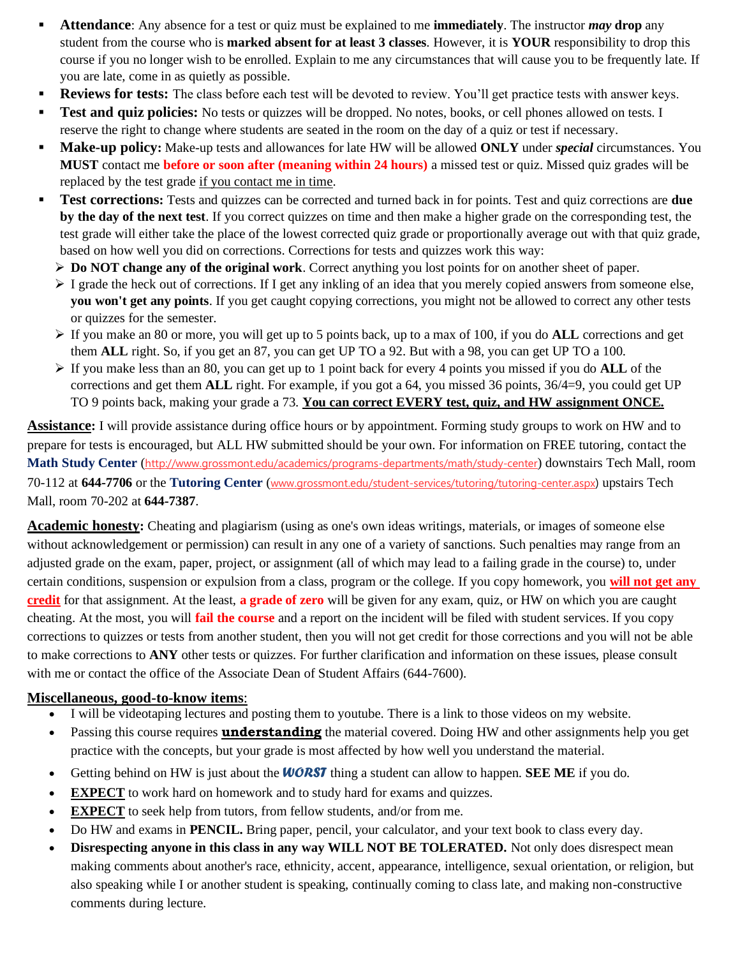- **Attendance**: Any absence for a test or quiz must be explained to me **immediately**. The instructor *may* drop any student from the course who is **marked absent for at least 3 classes**. However, it is **YOUR** responsibility to drop this course if you no longer wish to be enrolled. Explain to me any circumstances that will cause you to be frequently late. If you are late, come in as quietly as possible.
- **Reviews for tests:** The class before each test will be devoted to review. You'll get practice tests with answer keys.
- Test and quiz policies: No tests or quizzes will be dropped. No notes, books, or cell phones allowed on tests. I reserve the right to change where students are seated in the room on the day of a quiz or test if necessary.
- **Make-up policy:** Make-up tests and allowances for late HW will be allowed **ONLY** under *special* circumstances. You **MUST** contact me **before or soon after (meaning within 24 hours)** a missed test or quiz. Missed quiz grades will be replaced by the test grade if you contact me in time.
- **Test corrections:** Tests and quizzes can be corrected and turned back in for points. Test and quiz corrections are **due by the day of the next test**. If you correct quizzes on time and then make a higher grade on the corresponding test, the test grade will either take the place of the lowest corrected quiz grade or proportionally average out with that quiz grade, based on how well you did on corrections. Corrections for tests and quizzes work this way:
	- ➢ **Do NOT change any of the original work**. Correct anything you lost points for on another sheet of paper.
	- $\triangleright$  I grade the heck out of corrections. If I get any inkling of an idea that you merely copied answers from someone else, **you won't get any points**. If you get caught copying corrections, you might not be allowed to correct any other tests or quizzes for the semester.
	- ➢ If you make an 80 or more, you will get up to 5 points back, up to a max of 100, if you do **ALL** corrections and get them **ALL** right. So, if you get an 87, you can get UP TO a 92. But with a 98, you can get UP TO a 100.
	- ➢ If you make less than an 80, you can get up to 1 point back for every 4 points you missed if you do **ALL** of the corrections and get them **ALL** right. For example, if you got a 64, you missed 36 points, 36/4=9, you could get UP TO 9 points back, making your grade a 73. **You can correct EVERY test, quiz, and HW assignment ONCE.**

**Assistance:** I will provide assistance during office hours or by appointment. Forming study groups to work on HW and to prepare for tests is encouraged, but ALL HW submitted should be your own. For information on FREE tutoring, contact the **Math Study Center** (http://www.grossmont.edu/academics/programs-departments/math/study-center) downstairs Tech Mall, room 70-112 at **644-7706** or the **Tutoring Center** ([www.grossmont.edu/student-services/tutoring/tutoring-center.aspx](http://www.grossmont.edu/student-services/tutoring/tutoring-center.aspx)) upstairs Tech Mall, room 70-202 at **644-7387**.

**Academic honesty:** Cheating and plagiarism (using as one's own ideas writings, materials, or images of someone else without acknowledgement or permission) can result in any one of a variety of sanctions. Such penalties may range from an adjusted grade on the exam, paper, project, or assignment (all of which may lead to a failing grade in the course) to, under certain conditions, suspension or expulsion from a class, program or the college. If you copy homework, you **will not get any credit** for that assignment. At the least, **a grade of zero** will be given for any exam, quiz, or HW on which you are caught cheating. At the most, you will **fail the course** and a report on the incident will be filed with student services. If you copy corrections to quizzes or tests from another student, then you will not get credit for those corrections and you will not be able to make corrections to **ANY** other tests or quizzes. For further clarification and information on these issues, please consult with me or contact the office of the Associate Dean of Student Affairs (644-7600).

## **Miscellaneous, good-to-know items**:

- I will be videotaping lectures and posting them to youtube. There is a link to those videos on my website.
- Passing this course requires **understanding** the material covered. Doing HW and other assignments help you get practice with the concepts, but your grade is most affected by how well you understand the material.
- Getting behind on HW is just about the *WORST* thing a student can allow to happen. **SEE ME** if you do.
- **EXPECT** to work hard on homework and to study hard for exams and quizzes.
- **EXPECT** to seek help from tutors, from fellow students, and/or from me.
- Do HW and exams in **PENCIL.** Bring paper, pencil, your calculator, and your text book to class every day.
- **Disrespecting anyone in this class in any way WILL NOT BE TOLERATED.** Not only does disrespect mean making comments about another's race, ethnicity, accent, appearance, intelligence, sexual orientation, or religion, but also speaking while I or another student is speaking, continually coming to class late, and making non-constructive comments during lecture.